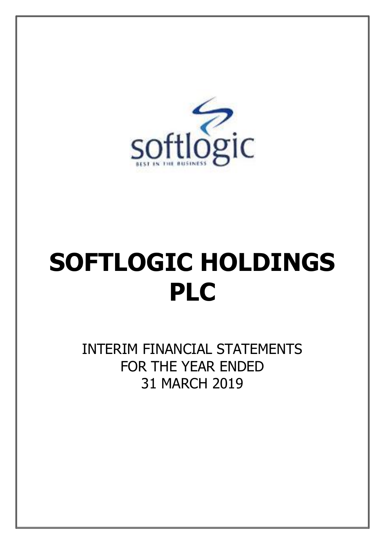

# **SOFTLOGIC HOLDINGS PLC**

INTERIM FINANCIAL STATEMENTS FOR THE YEAR ENDED 31 MARCH 2019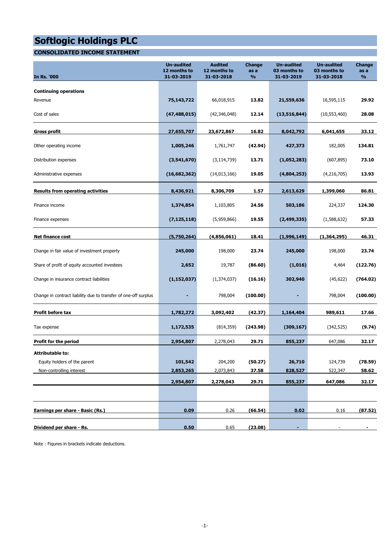### **CONSOLIDATED INCOME STATEMENT**

| <b>In Rs. '000</b>                                              | <b>Un-audited</b><br>12 months to<br>31-03-2019 | <b>Audited</b><br>12 months to<br>31-03-2018 | <b>Change</b><br>as a<br>$\frac{9}{6}$ | <b>Un-audited</b><br>03 months to<br>31-03-2019 | <b>Un-audited</b><br>03 months to<br>31-03-2018 | <b>Change</b><br>as a<br>$\frac{0}{0}$ |
|-----------------------------------------------------------------|-------------------------------------------------|----------------------------------------------|----------------------------------------|-------------------------------------------------|-------------------------------------------------|----------------------------------------|
| <b>Continuing operations</b>                                    |                                                 |                                              |                                        |                                                 |                                                 |                                        |
| Revenue                                                         | 75,143,722                                      | 66,018,915                                   | 13.82                                  | 21,559,636                                      | 16,595,115                                      | 29.92                                  |
| Cost of sales                                                   | (47, 488, 015)                                  | (42, 346, 048)                               | 12.14                                  | (13, 516, 844)                                  | (10, 553, 460)                                  | 28.08                                  |
| Gross profit                                                    | 27,655,707                                      | 23,672,867                                   | 16.82                                  | 8,042,792                                       | 6,041,655                                       | 33.12                                  |
| Other operating income                                          | 1,005,246                                       | 1,761,747                                    | (42.94)                                | 427,373                                         | 182,005                                         | 134.81                                 |
| Distribution expenses                                           | (3,541,670)                                     | (3, 114, 739)                                | 13.71                                  | (1,052,283)                                     | (607, 895)                                      | 73.10                                  |
| Administrative expenses                                         | (16,682,362)                                    | (14,013,166)                                 | 19.05                                  | (4,804,253)                                     | (4,216,705)                                     | 13.93                                  |
| <b>Results from operating activities</b>                        | 8,436,921                                       | 8,306,709                                    | 1.57                                   | 2,613,629                                       | 1,399,060                                       | 86.81                                  |
| Finance income                                                  | 1,374,854                                       | 1,103,805                                    | 24.56                                  | 503,186                                         | 224,337                                         | 124.30                                 |
| Finance expenses                                                | (7, 125, 118)                                   | (5,959,866)                                  | 19.55                                  | (2,499,335)                                     | (1,588,632)                                     | 57.33                                  |
| <b>Net finance cost</b>                                         | (5,750,264)                                     | (4,856,061)                                  | 18.41                                  | (1,996,149)                                     | (1,364,295)                                     | 46.31                                  |
| Change in fair value of investment property                     | 245,000                                         | 198,000                                      | 23.74                                  | 245,000                                         | 198,000                                         | 23.74                                  |
| Share of profit of equity accounted investees                   | 2,652                                           | 19,787                                       | (86.60)                                | (1,016)                                         | 4,464                                           | (122.76)                               |
| Change in insurance contract liabilities                        | (1, 152, 037)                                   | (1, 374, 037)                                | (16.16)                                | 302,940                                         | (45, 622)                                       | (764.02)                               |
| Change in contract liability due to transfer of one-off surplus | -                                               | 798,004                                      | (100.00)                               | -                                               | 798,004                                         | (100.00)                               |
| Profit before tax                                               | 1,782,272                                       | 3,092,402                                    | (42.37)                                | 1,164,404                                       | 989,611                                         | 17.66                                  |
| Tax expense                                                     | 1,172,535                                       | (814, 359)                                   | (243.98)                               | (309, 167)                                      | (342, 525)                                      | (9.74)                                 |
| Profit for the period                                           | 2,954,807                                       | 2,278,043                                    | 29.71                                  | 855,237                                         | 647,086                                         | 32.17                                  |
| <b>Attributable to:</b>                                         |                                                 |                                              |                                        |                                                 |                                                 |                                        |
| Equity holders of the parent                                    | 101,542                                         | 204,200                                      | (50.27)                                | 26,710                                          | 124,739                                         | (78.59)                                |
| Non-controlling interest                                        | 2,853,265                                       | 2,073,843                                    | 37.58                                  | 828,527                                         | 522,347                                         | 58.62                                  |
|                                                                 | 2,954,807                                       | 2,278,043                                    | 29.71                                  | 855,237                                         | 647,086                                         | 32.17                                  |
|                                                                 |                                                 |                                              |                                        |                                                 |                                                 |                                        |
| Earnings per share - Basic (Rs.)                                | 0.09                                            | 0.26                                         | (66.54)                                | 0.02                                            | 0.16                                            | (87.52)                                |
| Dividend per share - Rs.                                        | 0.50                                            | 0.65                                         | (23.08)                                |                                                 |                                                 |                                        |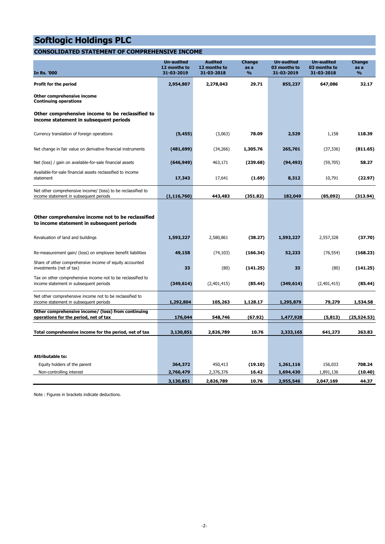### **CONSOLIDATED STATEMENT OF COMPREHENSIVE INCOME**

| <b>In Rs. '000</b>                                                                                                                                 | <b>Un-audited</b><br>12 months to<br>31-03-2019 | <b>Audited</b><br>12 months to<br>31-03-2018 | <b>Change</b><br>as a<br>$\frac{0}{0}$ | <b>Un-audited</b><br>03 months to<br>31-03-2019 | <b>Un-audited</b><br>03 months to<br>31-03-2018 | <b>Change</b><br>as a<br>$\frac{9}{6}$ |
|----------------------------------------------------------------------------------------------------------------------------------------------------|-------------------------------------------------|----------------------------------------------|----------------------------------------|-------------------------------------------------|-------------------------------------------------|----------------------------------------|
| Profit for the period                                                                                                                              | 2,954,807                                       | 2,278,043                                    | 29.71                                  | 855,237                                         | 647,086                                         | 32.17                                  |
| Other comprehensive income<br><b>Continuing operations</b>                                                                                         |                                                 |                                              |                                        |                                                 |                                                 |                                        |
| Other comprehensive income to be reclassified to<br>income statement in subsequent periods                                                         |                                                 |                                              |                                        |                                                 |                                                 |                                        |
| Currency translation of foreign operations                                                                                                         | (5, 455)                                        | (3,063)                                      | 78.09                                  | 2,529                                           | 1,158                                           | 118.39                                 |
| Net change in fair value on derivative financial instruments                                                                                       | (481, 699)                                      | (34, 266)                                    | 1,305.76                               | 265,701                                         | (37, 336)                                       | (811.65)                               |
| Net (loss) / gain on available-for-sale financial assets                                                                                           | (646, 949)                                      | 463,171                                      | (239.68)                               | (94, 493)                                       | (59,705)                                        | 58.27                                  |
| Available-for-sale financial assets reclassified to income<br>statement                                                                            | 17,343                                          | 17,641                                       | (1.69)                                 | 8,312                                           | 10,791                                          | (22.97)                                |
| Net other comprehensive income/ (loss) to be reclassified to<br>income statement in subsequent periods                                             | (1, 116, 760)                                   | 443,483                                      | (351.82)                               | 182,049                                         | (85,092)                                        | (313.94)                               |
| Other comprehensive income not to be reclassified<br>to income statement in subsequent periods                                                     |                                                 |                                              |                                        |                                                 |                                                 |                                        |
| Revaluation of land and buildings                                                                                                                  | 1,593,227                                       | 2,580,861                                    | (38.27)                                | 1,593,227                                       | 2,557,328                                       | (37.70)                                |
|                                                                                                                                                    |                                                 |                                              |                                        |                                                 |                                                 |                                        |
| Re-measurement gain/ (loss) on employee benefit liabilities<br>Share of other comprehensive income of equity accounted<br>investments (net of tax) | 49,158<br>33                                    | (74, 103)<br>(80)                            | (166.34)<br>(141.25)                   | 52,233<br>33                                    | (76, 554)<br>(80)                               | (168.23)<br>(141.25)                   |
| Tax on other comprehensive income not to be reclassified to<br>income statement in subsequent periods                                              | (349, 614)                                      | (2,401,415)                                  | (85.44)                                | (349, 614)                                      | (2,401,415)                                     | (85.44)                                |
| Net other comprehensive income not to be reclassified to<br>income statement in subsequent periods                                                 | 1,292,804                                       | 105,263                                      | 1,128.17                               | 1,295,879                                       | 79,279                                          | 1,534.58                               |
| Other comprehensive income/ (loss) from continuing<br>operations for the period, net of tax                                                        | 176,044                                         | 548,746                                      | (67.92)                                | 1,477,928                                       | (5, 813)                                        | (25, 524.53)                           |
| Total comprehensive income for the period, net of tax                                                                                              | 3,130,851                                       | 2,826,789                                    | 10.76                                  | 2,333,165                                       | 641,273                                         | 263.83                                 |
|                                                                                                                                                    |                                                 |                                              |                                        |                                                 |                                                 |                                        |
| <b>Attributable to:</b>                                                                                                                            |                                                 |                                              |                                        |                                                 |                                                 |                                        |
| Equity holders of the parent                                                                                                                       | 364,372                                         | 450,413                                      | (19.10)                                | 1,261,116                                       | 156,033                                         | 708.24                                 |
| Non-controlling interest                                                                                                                           | 2,766,479                                       | 2,376,376                                    | 16.42                                  | 1,694,430                                       | 1,891,136                                       | (10.40)                                |
|                                                                                                                                                    | 3,130,851                                       | 2,826,789                                    | 10.76                                  | 2,955,546                                       | 2,047,169                                       | 44.37                                  |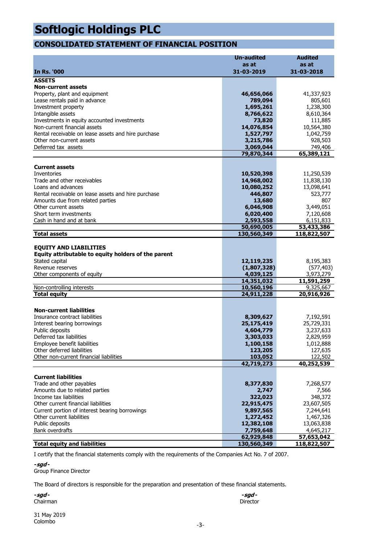### **CONSOLIDATED STATEMENT OF FINANCIAL POSITION**

|                                                          | <b>Un-audited</b>        | <b>Audited</b>        |
|----------------------------------------------------------|--------------------------|-----------------------|
|                                                          | as at                    | as at                 |
| <b>In Rs. '000</b>                                       | 31-03-2019               | 31-03-2018            |
| <b>ASSETS</b>                                            |                          |                       |
| <b>Non-current assets</b>                                |                          |                       |
| Property, plant and equipment                            | 46,656,066               | 41,337,923            |
| Lease rentals paid in advance                            | 789,094                  | 805,601               |
| Investment property                                      | 1,695,261                | 1,238,300             |
| Intangible assets                                        | 8,766,622                | 8,610,364             |
| Investments in equity accounted investments              | 73,820                   | 111,885               |
| Non-current financial assets                             | 14,076,854               | 10,564,380            |
| Rental receivable on lease assets and hire purchase      | 1,527,797                | 1,042,759             |
| Other non-current assets                                 | 3,215,786                | 928,503               |
| Deferred tax assets                                      | 3,069,044                | 749,406               |
|                                                          | 79,870,344               | 65,389,121            |
|                                                          |                          |                       |
| <b>Current assets</b>                                    |                          |                       |
| Inventories<br>Trade and other receivables               | 10,520,398<br>14,968,002 | 11,250,539            |
| Loans and advances                                       |                          | 11,838,130            |
| Rental receivable on lease assets and hire purchase      | 10,080,252<br>446,807    | 13,098,641<br>523,777 |
| Amounts due from related parties                         | 13,680                   | 807                   |
| Other current assets                                     | 6,046,908                | 3,449,051             |
| Short term investments                                   | 6,020,400                | 7,120,608             |
| Cash in hand and at bank                                 | 2,593,558                | 6,151,833             |
|                                                          | 50,690,005               | 53,433,386            |
| <b>Total assets</b>                                      | 130,560,349              | 118,822,507           |
|                                                          |                          |                       |
| <b>EQUITY AND LIABILITIES</b>                            |                          |                       |
| Equity attributable to equity holders of the parent      |                          |                       |
| Stated capital                                           | 12,119,235               | 8,195,383             |
| Revenue reserves                                         | (1,807,328)              | (577, 403)            |
| Other components of equity                               | 4,039,125                | 3,973,279             |
|                                                          | 14,351,032               | 11,591,259            |
| Non-controlling interests                                | 10,560,196               | 9,325,667             |
| <b>Total equity</b>                                      | 24,911,228               | 20,916,926            |
|                                                          |                          |                       |
| <b>Non-current liabilities</b>                           |                          |                       |
| Insurance contract liabilities                           | 8,309,627                | 7,192,591             |
| Interest bearing borrowings                              | 25,175,419               | 25,729,331            |
| Public deposits                                          | 4,604,779                | 3,237,633             |
| Deferred tax liabilities                                 | 3,303,033                | 2,829,959             |
| Employee benefit liabilities                             | 1,100,158                | 1,012,888             |
| Other deferred liabilities                               | 123,205                  | 127,635               |
| Other non-current financial liabilities                  | 103,052                  | 122,502               |
|                                                          | 42,719,273               | 40,252,539            |
|                                                          |                          |                       |
| <b>Current liabilities</b>                               |                          |                       |
| Trade and other payables                                 | 8,377,830                | 7,268,577             |
| Amounts due to related parties<br>Income tax liabilities | 2,747<br>322,023         | 7,566<br>348,372      |
| Other current financial liabilities                      |                          | 23,607,505            |
| Current portion of interest bearing borrowings           | 22,915,475<br>9,897,565  | 7,244,641             |
| Other current liabilities                                | 1,272,452                | 1,467,326             |
| Public deposits                                          | 12,382,108               | 13,063,838            |
| <b>Bank overdrafts</b>                                   | 7,759,648                | 4,645,217             |
|                                                          | 62,929,848               | 57,653,042            |
| <b>Total equity and liabilities</b>                      | 130,560,349              | 118,822,507           |

I certify that the financial statements comply with the requirements of the Companies Act No. 7 of 2007.

**-sgd -**

Group Finance Director

The Board of directors is responsible for the preparation and presentation of these financial statements.

**-sgd - -sgd -** Chairman Director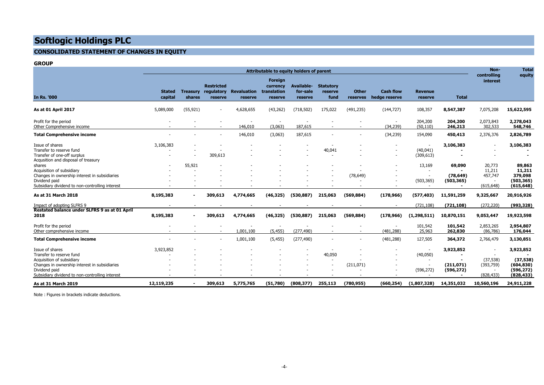#### **CONSOLIDATED STATEMENT OF CHANGES IN EQUITY**

#### **GROUP**

|                                                                                                                                                                                               | Attributable to equity holders of parent |                           |                                            |                                     |                                               |                                          | Non-<br>controlling                 | <b>Total</b><br>equity   |                                                      |                                                                                 |                                                         |                                           |                                                                  |
|-----------------------------------------------------------------------------------------------------------------------------------------------------------------------------------------------|------------------------------------------|---------------------------|--------------------------------------------|-------------------------------------|-----------------------------------------------|------------------------------------------|-------------------------------------|--------------------------|------------------------------------------------------|---------------------------------------------------------------------------------|---------------------------------------------------------|-------------------------------------------|------------------------------------------------------------------|
| <b>In Rs. '000</b>                                                                                                                                                                            | <b>Stated</b><br>capital                 | <b>Treasury</b><br>shares | <b>Restricted</b><br>regulatory<br>reserve | <b>Revaluation</b><br>reserve       | Foreign<br>currency<br>translation<br>reserve | <b>Available-</b><br>for-sale<br>reserve | <b>Statutory</b><br>reserve<br>fund | <b>Other</b><br>reserves | <b>Cash flow</b><br>hedge reserve                    | <b>Revenue</b><br>reserve                                                       | <b>Total</b>                                            | interest                                  |                                                                  |
| As at 01 April 2017                                                                                                                                                                           | 5,089,000                                | (55, 921)                 | $\overline{\phantom{0}}$                   | 4,628,655                           | (43, 262)                                     | (718, 502)                               | 175,022                             | (491, 235)               | (144, 727)                                           | 108,357                                                                         | 8,547,387                                               | 7,075,208                                 | 15,622,595                                                       |
| Profit for the period<br>Other Comprehensive income                                                                                                                                           |                                          |                           |                                            | $\overline{\phantom{a}}$<br>146,010 | $\overline{\phantom{a}}$<br>(3,063)           | 187,615                                  |                                     |                          | $\overline{\phantom{a}}$<br>(34, 239)                | 204,200<br>(50, 110)                                                            | 204,200<br>246,213                                      | 2,073,843<br>302,533                      | 2,278,043<br>548,746                                             |
| <b>Total Comprehensive income</b>                                                                                                                                                             |                                          |                           |                                            | 146,010                             | (3,063)                                       | 187,615                                  |                                     |                          | (34, 239)                                            | 154,090                                                                         | 450,413                                                 | 2,376,376                                 | 2,826,789                                                        |
| Issue of shares<br>Transfer to reserve fund<br>Transfer of one-off surplus<br>Acqusition and disposal of treasury                                                                             | 3,106,383                                |                           | 309,613                                    |                                     |                                               |                                          | 40,041                              |                          | $\overline{\phantom{a}}$                             | $\overline{\phantom{a}}$<br>(40, 041)<br>(309, 613)                             | 3,106,383<br>٠                                          |                                           | 3,106,383                                                        |
| shares<br>Acquisition of subsidiary<br>Changes in ownership interest in subsidiaries<br>Dividend paid<br>Subsidiary dividend to non-controlling interest                                      |                                          | 55,921                    |                                            |                                     |                                               |                                          |                                     | (78.649)                 | $\overline{\phantom{a}}$<br>$\overline{\phantom{a}}$ | 13,169<br>$\overline{\phantom{a}}$<br>(503, 365)                                | 69,090<br>(78.649)<br>(503, 365)<br>$\blacksquare$      | 20,773<br>11,211<br>457,747<br>(615, 648) | 89,863<br>11,211<br>379,098<br>(503, 365)<br>(615, 648)          |
| As at 31 March 2018                                                                                                                                                                           | 8,195,383                                | ٠                         | 309,613                                    | 4,774,665                           | (46, 325)                                     | (530, 887)                               | 215,063                             | (569, 884)               | (178, 966)                                           | (577, 403)                                                                      | 11,591,259                                              | 9,325,667                                 | 20,916,926                                                       |
| Impact of adopting SLFRS 9<br>Restated balance under SLFRS 9 as at 01 April<br>2018                                                                                                           | 8,195,383                                | $\overline{\phantom{a}}$  | 309,613                                    | 4,774,665                           | (46, 325)                                     | (530, 887)                               | 215,063                             | (569, 884)               | $\overline{\phantom{a}}$<br>(178, 966)               | (721, 108)<br>(1, 298, 511)                                                     | (721, 108)<br>10,870,151                                | (272, 220)<br>9,053,447                   | (993, 328)<br>19,923,598                                         |
| Profit for the period<br>Other comprehensive income                                                                                                                                           |                                          |                           |                                            | 1,001,100                           | (5, 455)                                      | (277, 490)                               |                                     |                          | $\overline{\phantom{a}}$<br>(481, 288)               | 101,542<br>25,963                                                               | 101,542<br>262,830                                      | 2,853,265<br>(86, 786)                    | 2,954,807<br>176,044                                             |
| <b>Total Comprehensive income</b>                                                                                                                                                             |                                          |                           |                                            | 1,001,100                           | (5, 455)                                      | (277, 490)                               |                                     |                          | (481, 288)                                           | 127,505                                                                         | 364,372                                                 | 2,766,479                                 | 3,130,851                                                        |
| Issue of shares<br>Transfer to reserve fund<br>Acquisition of subsidiary<br>Changes in ownership interest in subsidiaries<br>Dividend paid<br>Subsidiary dividend to non-controlling interest | 3,923,852                                |                           |                                            |                                     |                                               |                                          | 40,050                              | (211,071)                |                                                      | $\overline{\phantom{a}}$<br>(40, 050)<br>$\overline{\phantom{a}}$<br>(596, 272) | 3,923,852<br>$\blacksquare$<br>(211, 071)<br>(596, 272) | (37, 538)<br>(393,759)<br>(828, 433)      | 3,923,852<br>(37, 538)<br>(604, 830)<br>(596, 272)<br>(828, 433) |
| As at 31 March 2019                                                                                                                                                                           | 12,119,235                               | $\blacksquare$            | 309,613                                    | 5,775,765                           | (51,780)                                      | (808, 377)                               | 255,113                             | (780, 955)               | (660, 254)                                           | (1,807,328)                                                                     | 14,351,032                                              | 10,560,196                                | 24,911,228                                                       |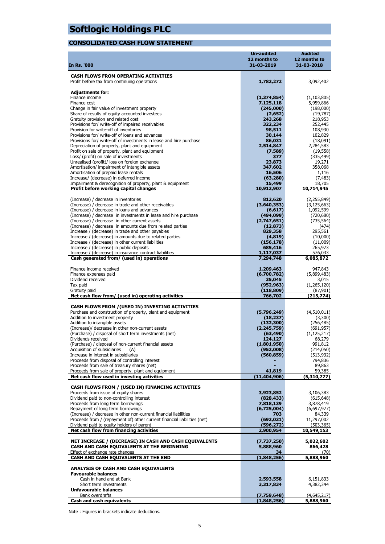#### **CONSOLIDATED CASH FLOW STATEMENT**

|                                                                                                                      | <b>Un-audited</b>           | <b>Audited</b>           |
|----------------------------------------------------------------------------------------------------------------------|-----------------------------|--------------------------|
|                                                                                                                      | 12 months to                | 12 months to             |
| In Rs. '000                                                                                                          | 31-03-2019                  | 31-03-2018               |
| <b>CASH FLOWS FROM OPERATING ACTIVITIES</b>                                                                          |                             |                          |
| Profit before tax from continuing operations                                                                         | 1,782,272                   | 3,092,402                |
|                                                                                                                      |                             |                          |
| <b>Adjustments for:</b>                                                                                              |                             |                          |
| Finance income                                                                                                       | (1, 374, 854)               | (1, 103, 805)            |
| Finance cost<br>Change in fair value of investment property                                                          | 7,125,118<br>(245,000)      | 5,959,866<br>(198,000)   |
| Share of results of equity accounted investees                                                                       | (2,652)                     | (19, 787)                |
| Gratuity provision and related cost                                                                                  | 243,268                     | 218,953                  |
| Provisions for/ write-off of impaired receivables                                                                    | 322,234                     | 252,445                  |
| Provision for write-off of inventories                                                                               | 98,511                      | 108,930                  |
| Provisions for/ write-off of loans and advances                                                                      | 30,144                      | 102,829                  |
| Provisions for/ write-off of investments in lease and hire purchase<br>Depreciation of property, plant and equipment | 86,031<br>2,514,847         | (18,091)<br>2,284,583    |
| Profit on sale of property, plant and equipment                                                                      | (7,589)                     | (19, 558)                |
| Loss/ (profit) on sale of investments                                                                                | 377                         | (335, 499)               |
| Unrealised (profit)/ loss on foreign exchange                                                                        | 23,873                      | 19,271                   |
| Amortisation/ impairment of intangible assets                                                                        | 347,602                     | 358,068                  |
| Amortisation of prepaid lease rentals                                                                                | 16,506                      | 1,116                    |
| Increase/ (decrease) in deferred income<br>Impairment & derecognition of property, plant & equipment                 | (63, 280)<br>15,499         | (7, 483)<br>18,705       |
| Profit before working capital changes                                                                                | 10,912,907                  | 10,714,945               |
|                                                                                                                      |                             |                          |
| (Increase) / decrease in inventories                                                                                 | 812,620                     | (2, 255, 849)            |
| (Increase) / decrease in trade and other receivables                                                                 | (3,640,353)                 | (3, 125, 663)            |
| (Increase) / decrease in loans and advances                                                                          | (6, 617)                    | 1,092,599                |
| (Increase) / decrease in investments in lease and hire purchase<br>(Increase) / decrease in other current assets     | (494,099)<br>(2,747,651)    | (720, 680)<br>(735, 564) |
| (Increase) / decrease in amounts due from related parties                                                            | (12, 873)                   | (474)                    |
| Increase / (decrease) in trade and other payables                                                                    | 829,358                     | 295,561                  |
| Increase / (decrease) in amounts due to related parties                                                              | (4,819)                     | (10,000)                 |
| Increase / (decrease) in other current liabilities                                                                   | (156, 178)                  | (11,009)                 |
| Increase / (decrease) in public deposits                                                                             | 685,416                     | 265,973                  |
| Increase / (decrease) in insurance contract liabilities<br>Cash generated from/ (used in) operations                 | 1,117,037<br>7,294,748      | 576,033<br>6,085,872     |
|                                                                                                                      |                             |                          |
| Finance income received                                                                                              | 1,209,463                   | 947,843                  |
| Finance expenses paid                                                                                                | (6,700,782)                 | (5,899,483)              |
| Dividend received                                                                                                    | 35,045                      | 3,015                    |
| Tax paid<br>Gratuity paid                                                                                            | (952, 963)<br>(118, 809)    | (1,265,120)<br>(87, 901) |
| Net cash flow from/ (used in) operating activities                                                                   | 766,702                     | (215,774)                |
|                                                                                                                      |                             |                          |
| CASH FLOWS FROM / (USED IN) INVESTING ACTIVITIES                                                                     |                             |                          |
| Purchase and construction of property, plant and equipment                                                           | (5,796,249)                 | (4,510,011)              |
| Addition to investment property<br>Addition to intangible assets                                                     | (18, 237)                   | (3,300)                  |
| (Increase)/ decrease in other non-current assets                                                                     | (132, 300)<br>(2, 245, 759) | (256, 485)<br>(691, 957) |
| (Purchase) / disposal of short term investments (net)                                                                | (63, 490)                   | (1, 125, 217)            |
| Dividends received                                                                                                   | 124,127                     | 68,279                   |
| (Purchase) / disposal of non-current financial assets                                                                | (1,801,950)                 | 991,812                  |
| Acquisition of subsidiaries<br>(A)                                                                                   | (952,008)                   | (214,050)                |
| Increase in interest in subsidiaries<br>Proceeds from disposal of controlling interest                               | (560, 859)                  | (513, 932)<br>794,836    |
| Proceeds from sale of treasury shares (net)                                                                          |                             | 89,863                   |
| Proceeds from sale of property, plant and equipment                                                                  | 41,819                      | 59,385                   |
| Net cash flow used in investing activities                                                                           | (11, 404, 906)              | (5,310,777)              |
|                                                                                                                      |                             |                          |
| CASH FLOWS FROM / (USED IN) FINANCING ACTIVITIES                                                                     |                             |                          |
| Proceeds from issue of equity shares<br>Dividend paid to non-controlling interest                                    | 3,923,852<br>(828, 433)     | 3,106,383<br>(615, 648)  |
| Proceeds from long term borrowings                                                                                   | 7,818,139                   | 3,878,419                |
| Repayment of long term borrowings                                                                                    | (6,725,004)                 | (6,697,977)              |
| (Increase) / decrease in other non-current financial liabilities                                                     | 703                         | 84,339                   |
| Proceeds from / (repayment of) other current financial liabilities (net)                                             | (692, 031)                  | 11,297,002               |
| Dividend paid to equity holders of parent                                                                            | (596, 272)                  | (503, 365)               |
| Net cash flow from financing activities                                                                              | 2,900,954                   | 10,549,153               |
| NET INCREASE / (DECREASE) IN CASH AND CASH EQUIVALENTS                                                               | (7,737,250)                 | 5,022,602                |
| CASH AND CASH EQUIVALENTS AT THE BEGINNING                                                                           | 5,888,960                   | 866,428                  |
| Effect of exchange rate changes                                                                                      | 34                          | (70)                     |
| CASH AND CASH EQUIVALENTS AT THE END                                                                                 | (1,848,256)                 | 5,888,960                |
|                                                                                                                      |                             |                          |
| <b>ANALYSIS OF CASH AND CASH EQUIVALENTS</b><br><b>Favourable balances</b>                                           |                             |                          |
| Cash in hand and at Bank                                                                                             | 2,593,558                   | 6,151,833                |
| Short term investments                                                                                               | 3,317,834                   | 4,382,344                |
| <b>Unfavourable balances</b>                                                                                         |                             |                          |
| Bank overdrafts                                                                                                      | (7,759,648)                 | (4,645,217)              |
| Cash and cash equivalents                                                                                            | (1,848,256)                 | 5,888,960                |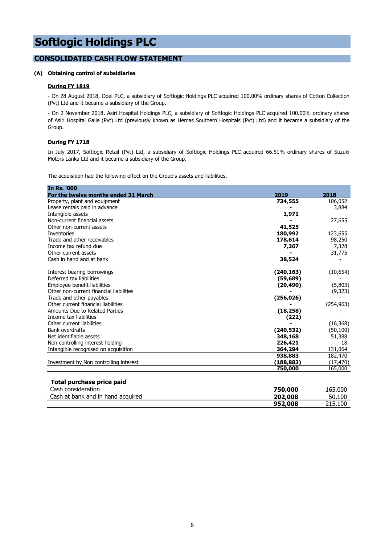#### **CONSOLIDATED CASH FLOW STATEMENT**

#### **(A) Obtaining control of subsidiaries**

#### **During FY 1819**

- On 28 August 2018, Odel PLC, a subsidiary of Softlogic Holdings PLC acquired 100.00% ordinary shares of Cotton Collection (Pvt) Ltd and it became a subsidiary of the Group.

- On 2 November 2018, Asiri Hospital Holdings PLC, a subsidiary of Softlogic Holdings PLC acquired 100.00% ordinary shares of Asiri Hospital Galle (Pvt) Ltd (previously known as Hemas Southern Hospitals (Pvt) Ltd) and it became a subsidiary of the Group.

#### **During FY 1718**

In July 2017, Softlogic Retail (Pvt) Ltd, a subsidiary of Softlogic Holdings PLC acquired 66.51% ordinary shares of Suzuki Motors Lanka Ltd and it became a subsidiary of the Group.

The acquisition had the following effect on the Group's assets and liabilities.

| <b>In Rs. '000</b>                      |            |            |
|-----------------------------------------|------------|------------|
| For the twelve months ended 31 March    | 2019       | 2018       |
| Property, plant and equipment           | 734,555    | 106,052    |
| Lease rentals paid in advance           |            | 3,884      |
| Intangible assets                       | 1,971      |            |
| Non-current financial assets            |            | 27,655     |
| Other non-current assets                | 41,525     |            |
| Inventories                             | 180,992    | 123,655    |
| Trade and other receivables             | 178,614    | 98,250     |
| Income tax refund due                   | 7,367      | 7,328      |
| Other current assets                    |            | 31,775     |
| Cash in hand and at bank                | 38,524     |            |
| Interest bearing borrowings             | (240, 163) | (10, 654)  |
| Deferred tax liabilities                | (59, 689)  |            |
| Employee benefit liabilities            | (20, 490)  | (5,803)    |
| Other non-current financial liabilities |            | (9,323)    |
| Trade and other payables                | (256, 026) |            |
| Other current financial liabilities     |            | (254, 963) |
| Amounts Due to Related Parties          | (18, 258)  |            |
| Income tax liabilities                  | (222)      |            |
| Other current liabilities               |            | (16, 368)  |
| Bank overdrafts                         | (240,532)  | (50, 100)  |
| Net identifiable assets                 | 348,168    | 51,388     |
| Non controlling interest holding        | 226,421    | 18         |
| Intangible recognised on acquisition    | 364,294    | 131,064    |
|                                         | 938,883    | 182,470    |
| Investment by Non controlling interest  | (188, 883) | (17, 470)  |
|                                         | 750,000    | 165,000    |
| Total purchase price paid               |            |            |
| Cash consideration                      | 750,000    | 165,000    |
| Cash at bank and in hand acquired       | 202,008    | 50,100     |
|                                         | 952,008    | 215,100    |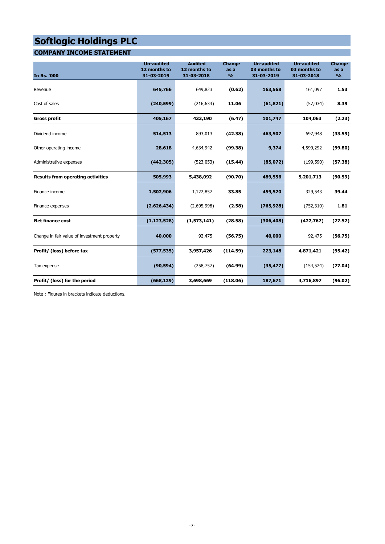### **COMPANY INCOME STATEMENT**

| <b>In Rs. '000</b>                          | <b>Un-audited</b><br>12 months to<br>31-03-2019 | <b>Audited</b><br>12 months to<br>31-03-2018 | Change<br>as a<br>$\frac{9}{6}$ | <b>Un-audited</b><br>03 months to<br>31-03-2019 | <b>Un-audited</b><br>03 months to<br>31-03-2018 | Change<br>as a<br>$\frac{9}{6}$ |
|---------------------------------------------|-------------------------------------------------|----------------------------------------------|---------------------------------|-------------------------------------------------|-------------------------------------------------|---------------------------------|
| Revenue                                     | 645,766                                         | 649,823                                      | (0.62)                          | 163,568                                         | 161,097                                         | 1.53                            |
| Cost of sales                               | (240, 599)                                      | (216, 633)                                   | 11.06                           | (61, 821)                                       | (57, 034)                                       | 8.39                            |
| <b>Gross profit</b>                         | 405,167                                         | 433,190                                      | (6.47)                          | 101,747                                         | 104,063                                         | (2.23)                          |
| Dividend income                             | 514,513                                         | 893,013                                      | (42.38)                         | 463,507                                         | 697,948                                         | (33.59)                         |
| Other operating income                      | 28,618                                          | 4,634,942                                    | (99.38)                         | 9,374                                           | 4,599,292                                       | (99.80)                         |
| Administrative expenses                     | (442, 305)                                      | (523, 053)                                   | (15.44)                         | (85,072)                                        | (199, 590)                                      | (57.38)                         |
| <b>Results from operating activities</b>    | 505,993                                         | 5,438,092                                    | (90.70)                         | 489,556                                         | 5,201,713                                       | (90.59)                         |
| Finance income                              | 1,502,906                                       | 1,122,857                                    | 33.85                           | 459,520                                         | 329,543                                         | 39.44                           |
| Finance expenses                            | (2,626,434)                                     | (2,695,998)                                  | (2.58)                          | (765, 928)                                      | (752, 310)                                      | 1.81                            |
| <b>Net finance cost</b>                     | (1, 123, 528)                                   | (1,573,141)                                  | (28.58)                         | (306, 408)                                      | (422, 767)                                      | (27.52)                         |
| Change in fair value of investment property | 40,000                                          | 92,475                                       | (56.75)                         | 40,000                                          | 92,475                                          | (56.75)                         |
| Profit/ (loss) before tax                   | (577, 535)                                      | 3,957,426                                    | (114.59)                        | 223,148                                         | 4,871,421                                       | (95.42)                         |
| Tax expense                                 | (90, 594)                                       | (258, 757)                                   | (64.99)                         | (35, 477)                                       | (154, 524)                                      | (77.04)                         |
| Profit/ (loss) for the period               | (668, 129)                                      | 3,698,669                                    | (118.06)                        | 187,671                                         | 4,716,897                                       | (96.02)                         |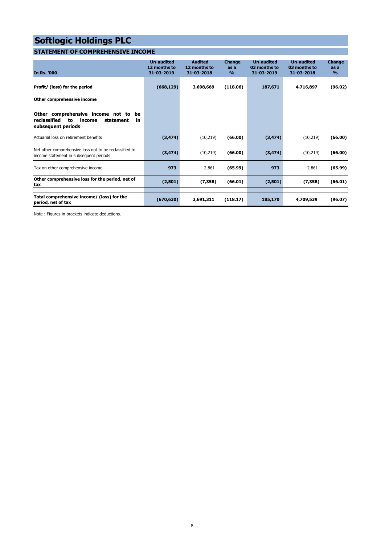### **STATEMENT OF COMPREHENSIVE INCOME**

| <b>In Rs. '000</b>                                                                                                | <b>Un-audited</b><br>12 months to<br>31-03-2019 | <b>Audited</b><br>12 months to<br>31-03-2018 | <b>Change</b><br>as a<br>$\frac{9}{6}$ | <b>Un-audited</b><br>03 months to<br>31-03-2019 | <b>Un-audited</b><br>03 months to<br>31-03-2018 | <b>Change</b><br>as a<br>$\frac{9}{6}$ |
|-------------------------------------------------------------------------------------------------------------------|-------------------------------------------------|----------------------------------------------|----------------------------------------|-------------------------------------------------|-------------------------------------------------|----------------------------------------|
| Profit/ (loss) for the period                                                                                     | (668, 129)                                      | 3,698,669                                    | (118.06)                               | 187,671                                         | 4,716,897                                       | (96.02)                                |
| Other comprehensive income                                                                                        |                                                 |                                              |                                        |                                                 |                                                 |                                        |
| Other comprehensive income not to<br>be<br>reclassified<br>to<br>statement<br>income<br>in.<br>subsequent periods |                                                 |                                              |                                        |                                                 |                                                 |                                        |
| Actuarial loss on retirement benefits                                                                             | (3, 474)                                        | (10, 219)                                    | (66,00)                                | (3, 474)                                        | (10, 219)                                       | (66.00)                                |
| Net other comprehensive loss not to be reclassified to<br>income statement in subsequent periods                  | (3, 474)                                        | (10, 219)                                    | (66.00)                                | (3, 474)                                        | (10, 219)                                       | (66.00)                                |
| Tax on other comprehensive income                                                                                 | 973                                             | 2,861                                        | (65.99)                                | 973                                             | 2,861                                           | (65.99)                                |
| Other comprehensive loss for the period, net of<br>tax                                                            | (2,501)                                         | (7, 358)                                     | (66.01)                                | (2,501)                                         | (7, 358)                                        | (66.01)                                |
| Total comprehensive income/ (loss) for the<br>period, net of tax                                                  | (670, 630)                                      | 3,691,311                                    | (118.17)                               | 185,170                                         | 4,709,539                                       | (96.07)                                |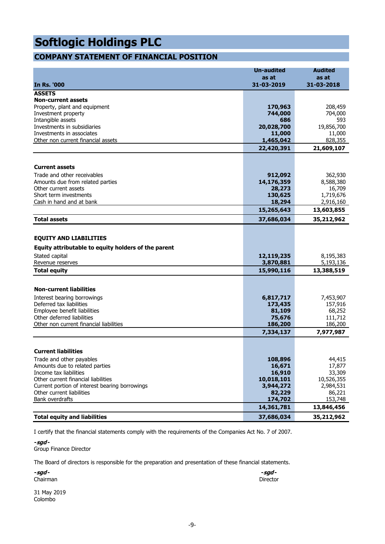### **COMPANY STATEMENT OF FINANCIAL POSITION**

| <b>In Rs. '000</b>                                                                   | <b>Un-audited</b><br>as at<br>31-03-2019 | <b>Audited</b><br>as at<br>31-03-2018 |
|--------------------------------------------------------------------------------------|------------------------------------------|---------------------------------------|
| <b>ASSETS</b>                                                                        |                                          |                                       |
| <b>Non-current assets</b>                                                            |                                          |                                       |
| Property, plant and equipment                                                        | 170,963                                  | 208,459                               |
| Investment property                                                                  | 744,000                                  | 704,000                               |
| Intangible assets                                                                    | 686                                      | 593                                   |
| Investments in subsidiaries                                                          | 20,028,700                               | 19,856,700                            |
| Investments in associates                                                            | 11,000                                   | 11,000                                |
| Other non current financial assets                                                   | 1,465,042                                | 828,355                               |
|                                                                                      | 22,420,391                               | 21,609,107                            |
|                                                                                      |                                          |                                       |
| <b>Current assets</b>                                                                |                                          |                                       |
| Trade and other receivables                                                          | 912,092                                  | 362,930                               |
| Amounts due from related parties                                                     | 14,176,359                               | 8,588,380                             |
| Other current assets                                                                 | 28,273                                   | 16,709                                |
| Short term investments<br>Cash in hand and at bank                                   | 130,625<br>18,294                        | 1,719,676<br>2,916,160                |
|                                                                                      | 15,265,643                               | 13,603,855                            |
| <b>Total assets</b>                                                                  | 37,686,034                               | 35,212,962                            |
|                                                                                      |                                          |                                       |
| <b>EQUITY AND LIABILITIES</b><br>Equity attributable to equity holders of the parent |                                          |                                       |
| Stated capital                                                                       | 12,119,235                               | 8,195,383                             |
| Revenue reserves                                                                     | 3,870,881                                | 5,193,136                             |
| <b>Total equity</b>                                                                  | 15,990,116                               | 13,388,519                            |
|                                                                                      |                                          |                                       |
| <b>Non-current liabilities</b>                                                       |                                          |                                       |
| Interest bearing borrowings                                                          | 6,817,717                                | 7,453,907                             |
| Deferred tax liabilities                                                             | 173,435                                  | 157,916                               |
| Employee benefit liabilities                                                         | 81,109                                   | 68,252                                |
| Other deferred liabilities                                                           | 75,676                                   | 111,712                               |
| Other non current financial liabilities                                              | 186,200                                  | 186,200                               |
|                                                                                      | 7,334,137                                | 7,977,987                             |
| <b>Current liabilities</b>                                                           |                                          |                                       |
| Trade and other payables                                                             | 108,896                                  | 44,415                                |
| Amounts due to related parties                                                       | 16,671                                   | 17,877                                |
| Income tax liabilities                                                               | 16,910                                   | 33,309                                |
| Other current financial liabilities                                                  | 10,018,101                               | 10,526,355                            |
| Current portion of interest bearing borrowings                                       | 3,944,272                                | 2,984,531                             |
| Other current liabilities                                                            | 82,229                                   | 86,221                                |
| Bank overdrafts                                                                      | 174,702                                  | 153,748                               |
|                                                                                      | 14,361,781                               | 13,846,456                            |
| <b>Total equity and liabilities</b>                                                  | 37,686,034                               | 35,212,962                            |

I certify that the financial statements comply with the requirements of the Companies Act No. 7 of 2007.

**-sgd -**

Group Finance Director

The Board of directors is responsible for the preparation and presentation of these financial statements.

| -sgd-           | -sgd-    |
|-----------------|----------|
| Chairman        | Director |
| _ _ _ _<br>---- |          |

31 May 2019 Colombo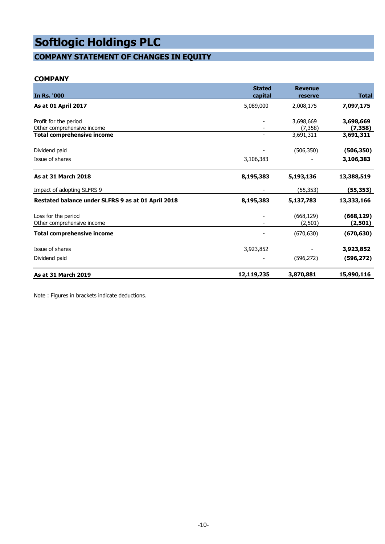### **COMPANY STATEMENT OF CHANGES IN EQUITY**

#### **COMPANY**

| <b>In Rs. '000</b>                                  | <b>Stated</b><br>capital | <b>Revenue</b><br>reserve | <b>Total</b>          |
|-----------------------------------------------------|--------------------------|---------------------------|-----------------------|
| <b>As at 01 April 2017</b>                          | 5,089,000                | 2,008,175                 | 7,097,175             |
| Profit for the period<br>Other comprehensive income |                          | 3,698,669<br>(7, 358)     | 3,698,669<br>(7, 358) |
| Total comprehensive income                          |                          | 3,691,311                 | 3,691,311             |
| Dividend paid                                       |                          | (506, 350)                | (506, 350)            |
| Issue of shares                                     | 3,106,383                |                           | 3,106,383             |
| <b>As at 31 March 2018</b>                          | 8,195,383                | 5,193,136                 | 13,388,519            |
| Impact of adopting SLFRS 9                          |                          | (55, 353)                 | (55, 353)             |
| Restated balance under SLFRS 9 as at 01 April 2018  | 8,195,383                | 5,137,783                 | 13,333,166            |
| Loss for the period<br>Other comprehensive income   |                          | (668, 129)<br>(2, 501)    | (668, 129)<br>(2,501) |
| Total comprehensive income                          |                          | (670, 630)                | (670, 630)            |
| Issue of shares                                     | 3,923,852                |                           | 3,923,852             |
| Dividend paid                                       |                          | (596, 272)                | (596, 272)            |
| As at 31 March 2019                                 | 12,119,235               | 3,870,881                 | 15,990,116            |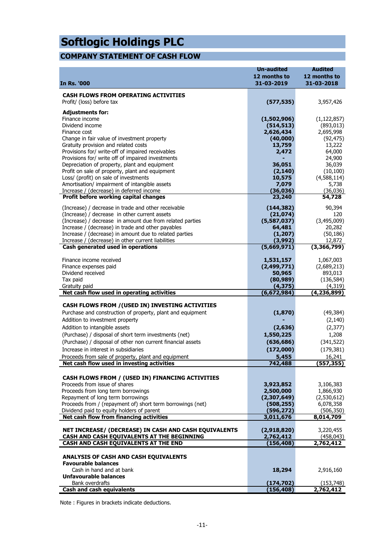### **COMPANY STATEMENT OF CASH FLOW**

| <b>In Rs. '000</b>                                                                                             | <b>Un-audited</b><br>12 months to<br>31-03-2019 | <b>Audited</b><br>12 months to<br>31-03-2018 |
|----------------------------------------------------------------------------------------------------------------|-------------------------------------------------|----------------------------------------------|
| <b>CASH FLOWS FROM OPERATING ACTIVITIES</b>                                                                    |                                                 |                                              |
| Profit/ (loss) before tax                                                                                      | (577, 535)                                      | 3,957,426                                    |
| <b>Adjustments for:</b>                                                                                        |                                                 |                                              |
| Finance income                                                                                                 | (1,502,906)                                     | (1, 122, 857)                                |
| Dividend income<br>Finance cost                                                                                | (514, 513)                                      | (893, 013)                                   |
| Change in fair value of investment property                                                                    | 2,626,434<br>(40,000)                           | 2,695,998<br>(92, 475)                       |
| Gratuity provision and related costs                                                                           | 13,759                                          | 13,222                                       |
| Provisions for/ write-off of impaired receivables                                                              | 2,472                                           | 64,000                                       |
| Provisions for/ write off of impaired investments                                                              |                                                 | 24,900                                       |
| Depreciation of property, plant and equipment<br>Profit on sale of property, plant and equipment               | 36,051<br>(2, 140)                              | 36,039<br>(10, 100)                          |
| Loss/ (profit) on sale of investments                                                                          | 10,575                                          | (4,588,114)                                  |
| Amortisation/ impairment of intangible assets                                                                  | 7,079                                           | 5,738                                        |
| Increase / (decrease) in deferred income                                                                       | (36, 036)                                       | (36,036)                                     |
| Profit before working capital changes                                                                          | 23,240                                          | $\overline{5}$ 4,728                         |
| (Increase) / decrease in trade and other receivable                                                            | (144, 382)                                      | 90,394                                       |
| (Increase) / decrease in other current assets                                                                  | (21, 074)                                       | 120                                          |
| (Increase) / decrease in amount due from related parties<br>Increase / (decrease) in trade and other payables  | (5,587,037)<br>64,481                           | (3,495,009)<br>20,282                        |
| Increase / (decrease) in amount due to related parties                                                         | (1, 207)                                        | (50, 186)                                    |
| Increase / (decrease) in other current liabilities                                                             | (3,992)                                         | 12,872                                       |
| Cash generated used in operations                                                                              | (5,669,971)                                     | (3,366,799)                                  |
| Finance income received                                                                                        | 1,531,157                                       | 1,067,003                                    |
| Finance expenses paid                                                                                          | (2, 499, 771)                                   | (2,689,213)                                  |
| Dividend received                                                                                              | 50,965                                          | 893,013                                      |
| Tax paid                                                                                                       | (80, 989)                                       | (136, 584)                                   |
| Gratuity paid<br>Net cash flow used in operating activities                                                    | (4, 375)<br>(6, 672, 984)                       | (4,319)<br>(4, 236, 899)                     |
|                                                                                                                |                                                 |                                              |
| CASH FLOWS FROM / (USED IN) INVESTING ACTIVITIES<br>Purchase and construction of property, plant and equipment | (1,870)                                         | (49, 384)                                    |
| Addition to investment property                                                                                |                                                 | (2, 140)                                     |
| Addition to intangible assets                                                                                  | (2,636)                                         | (2, 377)                                     |
| (Purchase) / disposal of short term investments (net)                                                          | 1,550,225                                       | 1,208                                        |
| (Purchase) / disposal of other non current financial assets                                                    | (636, 686)                                      | (341, 522)                                   |
| Increase in interest in subsidiaries                                                                           | (172,000)                                       | (179, 381)                                   |
| Proceeds from sale of property, plant and equipment                                                            | 5,455                                           | 16,241                                       |
| Net cash flow used in investing activities                                                                     | 742,488                                         | (557, 355)                                   |
| CASH FLOWS FROM / (USED IN) FINANCING ACTIVITIES                                                               |                                                 |                                              |
| Proceeds from issue of shares                                                                                  | 3,923,852                                       | 3,106,383                                    |
| Proceeds from long term borrowings                                                                             | 2,500,000                                       | 1,866,930                                    |
| Repayment of long term borrowings<br>Proceeds from / (repayment of) short term borrowings (net)                | (2,307,649)<br>(508, 255)                       | (2,530,612)<br>6,078,358                     |
| Dividend paid to equity holders of parent                                                                      | (596, 272)                                      | (506, 350)                                   |
| Net cash flow from financing activities                                                                        | 3,011,676                                       | 8,014,709                                    |
| NET INCREASE/ (DECREASE) IN CASH AND CASH EQUIVALENTS                                                          | (2,918,820)                                     | 3,220,455                                    |
| CASH AND CASH EQUIVALENTS AT THE BEGINNING                                                                     | 2,762,412                                       | (458, 043)                                   |
| CASH AND CASH EQUIVALENTS AT THE END                                                                           | (156, 408)                                      | 2,762,412                                    |
| ANALYSIS OF CASH AND CASH EQUIVALENTS                                                                          |                                                 |                                              |
| <b>Favourable balances</b>                                                                                     |                                                 |                                              |
| Cash in hand and at bank                                                                                       | 18,294                                          | 2,916,160                                    |
| Unfavourable balances<br>Bank overdrafts                                                                       | (174, 702)                                      | (153, 748)                                   |
| <b>Cash and cash equivalents</b>                                                                               | (156, 408)                                      | 2,762,412                                    |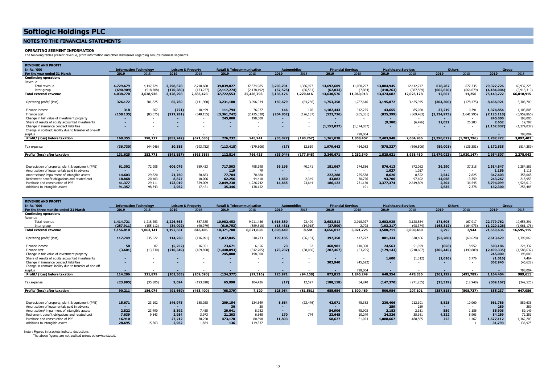#### **NOTES TO THE FINANCIAL STATEMENTS**

#### **OPERATING SEGMENT INFORMATION**

The following tables present revenue, profit information and other disclosures regarding Group's business segments.

| <b>REVENUE AND PROFIT</b>                               |            |                               |            |                               |               |                                       |            |                    |                           |                          |                            |                          |               |             |               |              |
|---------------------------------------------------------|------------|-------------------------------|------------|-------------------------------|---------------|---------------------------------------|------------|--------------------|---------------------------|--------------------------|----------------------------|--------------------------|---------------|-------------|---------------|--------------|
| <b>In Rs. '000</b>                                      |            | <b>Information Technology</b> |            | <b>Leisure &amp; Property</b> |               | <b>Retail &amp; Telecommunication</b> |            | <b>Automobiles</b> | <b>Financial Services</b> |                          | <b>Healthcare Services</b> |                          | <b>Others</b> |             |               | <b>Group</b> |
| For the year ended 31 March                             | 2019       | 2018                          | 2019       | 2018                          | 2019          | 2018                                  | 2019       | 2018               | 2019                      | 2018                     | 2019                       | 2018                     | 2019          | 2018        | 2019          | 2018         |
| <b>Continuing operations</b>                            |            |                               |            |                               |               |                                       |            |                    |                           |                          |                            |                          |               |             |               |              |
| Revenue                                                 |            |                               |            |                               |               |                                       |            |                    |                           |                          |                            |                          |               |             |               |              |
| Total revenue                                           | 4,729,679  | 4.147.724                     | 3,298,678  | 2,718,660                     | 39,839,827    | 37,574,985                            | 3,203,701  | 1,336,977          | 13,692,609                | 11,068,797               | 13,884,945                 | 12,412,747               | 678,287       | 677,335     | 79,327,726    | 69,937,225   |
| Inter group                                             | (690, 909) | (518.788)                     | (170, 380) | (133, 237)                    | (2, 117, 274) | (2, 138, 192)                         | (67, 525)  | (66.561)           | (62, 033)                 | (7,884)                  | (410.263)                  | (387, 569)               | (665, 620)    | (666.079)   | (4, 184, 004) | (3,918,310)  |
| <b>Total external revenue</b>                           | 4,038,770  | 3,628,936                     | 3,128,298  | 2,585,423                     | 37.722.553    | 35,436,793                            | 3.136.176  | 1.270.416          | 13,630,576                | 11,060,913               | 13,474,682                 | 12.025.178               | 12,667        | 11,256      | 75,143,722    | 66.018.915   |
| Operating profit/ (loss)                                | 326,172    | 381,825                       | 65,760     | (141,980)                     | 3,231,180     | 3,096,034                             | 169,679    | (64, 256)          | 1,753,358                 | 1,787,616                | 3,195,072                  | 3,425,945                | (304, 300)    | (178, 475)  | 8,436,921     | 8,306,709    |
|                                                         |            |                               |            |                               |               |                                       |            |                    |                           |                          |                            |                          |               |             |               |              |
| Finance income                                          | 318        | 567                           | (721)      | 18,499                        | 111,794       | 76,927                                | 146        | 176                | 1,182,443                 | 912,225                  | 43,655                     | 85,020                   | 37,219        | 10,391      | 1,374,854     | 1,103,805    |
| Finance cost                                            | (158, 135) | (83, 675)                     | (917, 281) | (548, 155)                    | (3,361,742)   | (2,425,020)                           | (204, 852) | (126, 187)         | (522, 736)                | (265, 351)               | (825, 399)                 | (869, 483)               | (1, 134, 973) | (1,641,995) | (7, 125, 118) | (5,959,866)  |
| Change in fair value of investment property             |            |                               | $\sim$     | $\sim$                        | 245,000       | 198,000                               | $\sim$     |                    |                           | $\sim$                   |                            | $\overline{\phantom{a}}$ |               |             | 245,000       | 198,000      |
| Share of results of equity accounted investments        |            |                               | $\sim$     | $\sim$                        |               | $\overline{\phantom{a}}$              |            |                    |                           |                          | (9,380)                    | (6, 496)                 | 12,032        | 26,283      | 2,652         | 19,787       |
| Change in insurance contract liabilities                |            |                               |            |                               |               |                                       |            |                    | (1, 152, 037)             | (1,374,037)              |                            |                          |               |             | (1, 152, 037) | (1,374,037)  |
| Change in contract liability due to transfer of one-off |            |                               |            |                               |               |                                       |            |                    |                           |                          |                            |                          |               |             |               |              |
| surplus                                                 |            |                               |            |                               |               |                                       |            |                    |                           | 798,004                  |                            |                          |               |             |               | 798,004      |
| Profit/ (loss) before taxation                          | 168,355    | 298,717                       | (852, 242) | (671, 636)                    | 226,232       | 945,941                               | (35, 027)  | (190.267)          | 1,261,028                 | 1,858,457                | 2,403,948                  | 2,634,986                | (1, 390, 022) | (1,783,796) | 1,782,272     | 3,092,402    |
| Tax expense                                             | (36,730)   | (44,946)                      | 10,385     | (193, 752)                    | (113, 418)    | (179, 506)                            | (17)       | 12,619             | 1,979,643                 | 424,083                  | (578, 327)                 | (696, 506)               | (89,001)      | (136, 351)  | 1,172,535     | (814, 359)   |
|                                                         |            |                               |            |                               |               |                                       |            |                    |                           |                          |                            |                          |               |             |               |              |
| Profit/ (loss) after taxation                           | 131,625    | 253,771                       | (841, 857) | (865, 388)                    | 112,814       | 766,435                               | (35,044)   | (177, 648)         | 3,240,671                 | 2,282,540                | 1,825,621                  | 1,938,480                | (1, 479, 023) | (1,920,147) | 2,954,807     | 2,278,043    |
|                                                         |            |                               |            |                               |               |                                       |            |                    |                           |                          |                            |                          |               |             |               |              |
| Depreciation of property, plant & equipment (PPE)       | 61,302     | 72,905                        | 606,076    | 589,423                       | 717,503       | 498,198                               | 36,196     | 40,141             | 181,067                   | 174,536                  | 876,413                    | 872,062                  | 36,290        | 37,318      | 2,514,847     | 2,284,583    |
| Amortisation of lease rentals paid in advance           |            | $\sim$                        | $\sim$     | $\sim$                        | 119           | 79                                    | $\sim$     |                    |                           | $\overline{\phantom{a}}$ | 1.037                      | 1,037                    |               | $\sim$      | 1.156         | 1.116        |
| Amortisation/ impairment of intangible assets           | 14,603     | 29,820                        | 21,760     | 20,683                        | 77,784        | 70,680                                | $\sim$     |                    | 222,288                   | 225,538                  | 8.626                      | 8,522                    | 2,542         | 2.825       | 347,603       | 358,068      |
| Retirement benefit obligations and related cost         | 18,868     | 20,403                        | 8,827      | 10,006                        | 62,256        | 44,418                                | 1.660      | 2.349              | 43,882                    | 30.726                   | 93,706                     | 97.692                   | 14,068        | 13,359      | 243,267       | 218,953      |
| Purchase and construction of PPE                        | 41,377     | 29,111                        | 123,019    | 359,009                       | 2,049,238     | 1,226,742                             | 14,665     | 23,644             | 186,122                   | 231,150                  | 3,377,374                  | 2,619,809                | 2,304         | 36,545      | 5,794,099     | 4,526,010    |
| Additions to intangible assets                          | 91,357     | 98,343                        | 2,962      | 17,421                        | 35,346        | 138,152                               | . .        |                    | $\sim$                    | 191                      |                            |                          | 2,635         | 2,378       | 132,300       | 256,485      |

| <b>REVENUE AND PROFIT</b>                               |            |                               |                               |            |                                       |           |                    |                          |                           |           |            |                            |               |            |                          |             |
|---------------------------------------------------------|------------|-------------------------------|-------------------------------|------------|---------------------------------------|-----------|--------------------|--------------------------|---------------------------|-----------|------------|----------------------------|---------------|------------|--------------------------|-------------|
| In Rs. '000                                             |            | <b>Information Technology</b> | <b>Leisure &amp; Property</b> |            | <b>Retail &amp; Telecommunication</b> |           | <b>Automobiles</b> |                          | <b>Financial Services</b> |           |            | <b>Healthcare Services</b> | <b>Others</b> |            | Group                    |             |
| For the three months ended 31 March                     | 2019       | 2018                          | 2019                          | 2018       | 2019                                  | 2018      | 2019               | 2018                     | 2019                      | 2018      | 2019       | 2018                       | 2019          | 2018       | 2019                     | 2018        |
| <b>Continuing operations</b>                            |            |                               |                               |            |                                       |           |                    |                          |                           |           |            |                            |               |            |                          |             |
| Revenue                                                 |            |                               |                               |            |                                       |           |                    |                          |                           |           |            |                            |               |            |                          |             |
| Total revenue                                           | 1,414,721  | 1,218,253                     | 1,226,663                     | 887.385    | 10,982,453                            | 9,211,456 | 1,616,880          | 23,499                   | 3,683,512                 | 3,018,927 | 3,683,928  | 3,128,854                  | 171,605       | 167,917    | 22,779,762               | 17,656,291  |
| Inter group                                             | (257, 911) | (155, 112)                    | (34,002)                      | (40, 979)  | (610.753)                             | (589.618) | (18, 431)          | (14, 918)                | (27,500)                  | 2.798     | (103.217)  | (98.374)                   | (168, 312)    | (164.973)  | (1.220.126)              | (1,061,176) |
| <b>Total external revenue</b>                           | 1,156,810  | 1,063,141                     | 1,192,661                     | 846,406    | 10,371,700                            | 8,621,838 | 1,598,449          | 8,581                    | 3,656,012                 | 3,021,725 | 3,580,711  | 3,030,480                  | 3,293         | 2,944      | 21,559,636               | 16,595,115  |
|                                                         |            |                               |                               |            |                                       |           |                    |                          |                           |           |            |                            |               |            |                          |             |
| Operating profit/ (loss)                                | 117,749    | 235,522                       | 114,238                       | (116,091)  | 1,037,045                             | 340,733   | 199,185            | (56, 154)                | 397,358                   | 417,272   | 801,334    | 638,406                    | (53, 280)     | (60, 628)  | 2,613,629                | 1,399,060   |
|                                                         |            |                               |                               |            |                                       |           |                    |                          |                           |           |            |                            |               |            |                          |             |
| Finance income                                          | 58         | 87                            | (5,252)                       | 16,351     | 23,671                                | 6,656     | 23                 | 62                       | 460,981                   | 140,300   | 24,563     | 51,929                     | (858)         | 8,952      | 503,186                  | 224,337     |
| Finance cost                                            | (3,601)    | (13,730)                      | (210, 349)                    | (169, 850) | (1,440,093)                           | (642,705) | (73, 237)          | (38,066)                 | (287, 467)                | (63, 705) | (179, 143) | (210, 687)                 | (305, 445)    | (449, 889) | (2,499,335)              | (1,588,632) |
| Change in fair value of investment property             |            |                               |                               | $\sim$     | 245,000                               | 198,000   |                    | $\overline{\phantom{a}}$ |                           |           |            |                            |               |            | 245,000                  | 198,000     |
| Share of results of equity accounted investments        |            |                               |                               |            |                                       |           |                    | $\overline{\phantom{a}}$ |                           |           | 1.600      | (1, 312)                   | (2,616)       | 5.776      | (1,016)                  | 4,464       |
| Change in insurance contract liabilities                |            |                               | ۰.                            |            |                                       |           |                    |                          | 302,940                   | (45, 622) |            |                            |               |            | 302,940                  | (45, 622)   |
| Change in contract liability due to transfer of one-off |            |                               |                               |            |                                       |           |                    |                          |                           |           |            |                            |               |            |                          |             |
| surplus                                                 |            |                               |                               |            |                                       |           |                    |                          |                           | 798.004   |            |                            |               |            | $\overline{\phantom{a}}$ | 798,004     |
| Profit/ (loss) before taxation                          | 114,206    | 221.879                       | (101, 363)                    | (269, 590) | (134, 377)                            | (97, 316) | 125,971            | (94, 158)                | 873,812                   | 1,246,249 | 648,354    | 478,336                    | (362, 199)    | (495, 789) | 1,164,404                | 989,611     |
|                                                         |            |                               |                               |            |                                       |           |                    |                          |                           |           |            |                            |               |            |                          |             |
| Tax expense                                             | (23, 995)  | (35,805)                      | 9,694                         | (193, 810) | 65,998                                | 104,436   | (17)               | 12,597                   | (188, 158)                | 54,240    | (147, 370) | (271, 235)                 | (25, 319)     | (12,948)   | (309, 167)               | (342, 525)  |
|                                                         |            |                               |                               |            |                                       |           |                    |                          |                           |           |            |                            |               |            |                          |             |
| Profit/ (loss) after taxation                           | 90,211     | 186,074                       | (91, 669)                     | (463, 400) | (68.379)                              | 7.120     | 125,954            | (81.561)                 | 685,654                   | 1,300,489 | 500,984    | 207,101                    | (387, 518)    | (508.737)  | 855,237                  | 647,086     |
|                                                         |            |                               |                               |            |                                       |           |                    |                          |                           |           |            |                            |               |            |                          |             |
|                                                         |            |                               |                               |            |                                       |           |                    |                          |                           |           |            |                            |               |            |                          |             |
| Depreciation of property, plant & equipment (PPE)       | 15,671     | 23,102                        | 146,975                       | 188,028    | 209,154                               | 134,349   | 8,684              | (23, 476)                | 42,071                    | 45,382    | 230,406    | 212,191                    | 8,825         | 10,060     | 661,786                  | 589,636     |
| Amortisation of lease rentals paid in advance           |            |                               |                               | $\sim$     | 30                                    | 30        |                    |                          |                           |           | 259        | 259                        |               |            | 289                      | 289         |
| Amortisation/ impairment of intangible assets           | 2,822      | 23,490                        | 5,392                         | 7,455      | 20,041                                | 8,982     |                    | $\overline{\phantom{a}}$ | 54,906                    | 45,905    | 2.183      | 2.131                      | 559           | 1.186      | 85,903                   | 89,149      |
| Retirement benefit obligations and related cost         | 7,639      | 9.543                         | 2,954                         | 3.973      | 21,203                                | 6,548     | 170                | 774                      | 23,645                    | 10,249    | 24,326     | 35,361                     | 4,322         | 5.903      | 84,259                   | 72,351      |
| Purchase and construction of PPE                        | 16,910     |                               | 27,212                        | 30,250     | 473,170                               | 80,898    | 11,803             |                          | 58,627                    | 61,023    | 1,088,667  | 1,188,565                  | 723           | 1.467      | 1,677,112                | 1,362,203   |
| Additions to intangible assets                          | 28,695     | 15,263                        | 2.962                         | 1.874      | 136                                   | 119.837   |                    |                          | $\sim$                    |           |            |                            |               |            | 31,793                   | 136,975     |

Note : Figures in brackets indicate deductions. The above figures are not audited unless otherwise stated.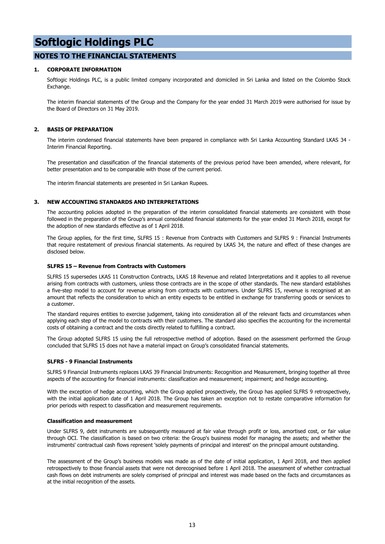#### **NOTES TO THE FINANCIAL STATEMENTS**

#### **1. CORPORATE INFORMATION**

Softlogic Holdings PLC, is a public limited company incorporated and domiciled in Sri Lanka and listed on the Colombo Stock Exchange.

The interim financial statements of the Group and the Company for the year ended 31 March 2019 were authorised for issue by the Board of Directors on 31 May 2019.

#### **2. BASIS OF PREPARATION**

The interim condensed financial statements have been prepared in compliance with Sri Lanka Accounting Standard LKAS 34 - Interim Financial Reporting.

The presentation and classification of the financial statements of the previous period have been amended, where relevant, for better presentation and to be comparable with those of the current period.

The interim financial statements are presented in Sri Lankan Rupees.

#### **3. NEW ACCOUNTING STANDARDS AND INTERPRETATIONS**

The accounting policies adopted in the preparation of the interim consolidated financial statements are consistent with those followed in the preparation of the Group's annual consolidated financial statements for the year ended 31 March 2018, except for the adoption of new standards effective as of 1 April 2018.

The Group applies, for the first time, SLFRS 15 : Revenue from Contracts with Customers and SLFRS 9 : Financial Instruments that require restatement of previous financial statements. As required by LKAS 34, the nature and effect of these changes are disclosed below.

#### **SLFRS 15 – Revenue from Contracts with Customers**

SLFRS 15 supersedes LKAS 11 Construction Contracts, LKAS 18 Revenue and related Interpretations and it applies to all revenue arising from contracts with customers, unless those contracts are in the scope of other standards. The new standard establishes a five-step model to account for revenue arising from contracts with customers. Under SLFRS 15, revenue is recognised at an amount that reflects the consideration to which an entity expects to be entitled in exchange for transferring goods or services to a customer.

The standard requires entities to exercise judgement, taking into consideration all of the relevant facts and circumstances when applying each step of the model to contracts with their customers. The standard also specifies the accounting for the incremental costs of obtaining a contract and the costs directly related to fulfilling a contract.

The Group adopted SLFRS 15 using the full retrospective method of adoption. Based on the assessment performed the Group concluded that SLFRS 15 does not have a material impact on Group's consolidated financial statements.

#### **SLFRS - 9 Financial Instruments**

SLFRS 9 Financial Instruments replaces LKAS 39 Financial Instruments: Recognition and Measurement, bringing together all three aspects of the accounting for financial instruments: classification and measurement; impairment; and hedge accounting.

With the exception of hedge accounting, which the Group applied prospectively, the Group has applied SLFRS 9 retrospectively, with the initial application date of 1 April 2018. The Group has taken an exception not to restate comparative information for prior periods with respect to classification and measurement requirements.

#### **Classification and measurement**

Under SLFRS 9, debt instruments are subsequently measured at fair value through profit or loss, amortised cost, or fair value through OCI. The classification is based on two criteria: the Group's business model for managing the assets; and whether the instruments' contractual cash flows represent 'solely payments of principal and interest' on the principal amount outstanding.

The assessment of the Group's business models was made as of the date of initial application, 1 April 2018, and then applied retrospectively to those financial assets that were not derecognised before 1 April 2018. The assessment of whether contractual cash flows on debt instruments are solely comprised of principal and interest was made based on the facts and circumstances as at the initial recognition of the assets.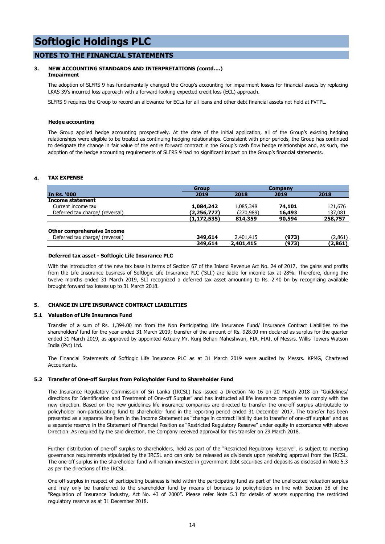#### **NOTES TO THE FINANCIAL STATEMENTS**

#### **3. NEW ACCOUNTING STANDARDS AND INTERPRETATIONS (contd….) Impairment**

The adoption of SLFRS 9 has fundamentally changed the Group's accounting for impairment losses for financial assets by replacing LKAS 39's incurred loss approach with a forward-looking expected credit loss (ECL) approach.

SLFRS 9 requires the Group to record an allowance for ECLs for all loans and other debt financial assets not held at FVTPL.

#### **Hedge accounting**

The Group applied hedge accounting prospectively. At the date of the initial application, all of the Group's existing hedging relationships were eligible to be treated as continuing hedging relationships. Consistent with prior periods, the Group has continued to designate the change in fair value of the entire forward contract in the Group's cash flow hedge relationships and, as such, the adoption of the hedge accounting requirements of SLFRS 9 had no significant impact on the Group's financial statements.

#### **4. TAX EXPENSE**

|                                   | <b>Group</b>  |            | Company |         |
|-----------------------------------|---------------|------------|---------|---------|
| <b>In Rs. '000</b>                | 2019          | 2018       | 2019    | 2018    |
| <b>Income statement</b>           |               |            |         |         |
| Current income tax                | 1,084,242     | 1,085,348  | 74,101  | 121,676 |
| Deferred tax charge/ (reversal)   | (2,256,777)   | (270, 989) | 16,493  | 137,081 |
|                                   | (1, 172, 535) | 814,359    | 90,594  | 258,757 |
| <b>Other comprehensive Income</b> |               |            |         |         |
| Deferred tax charge/ (reversal)   | 349,614       | 2,401,415  | (973)   | (2,861) |
|                                   | 349,614       | 2,401,415  | (973)   | (2,861) |

#### **Deferred tax asset - Softlogic Life Insurance PLC**

With the introduction of the new tax base in terms of Section 67 of the Inland Revenue Act No. 24 of 2017, the gains and profits from the Life Insurance business of Softlogic Life Insurance PLC ('SLI') are liable for income tax at 28%. Therefore, during the twelve months ended 31 March 2019, SLI recognized a deferred tax asset amounting to Rs. 2.40 bn by recognizing available brought forward tax losses up to 31 March 2018.

#### **5. CHANGE IN LIFE INSURANCE CONTRACT LIABILITIES**

#### **5.1 Valuation of Life Insurance Fund**

Transfer of a sum of Rs. 1,394.00 mn from the Non Participating Life Insurance Fund/ Insurance Contract Liabilities to the shareholders' fund for the year ended 31 March 2019; transfer of the amount of Rs. 928.00 mn declared as surplus for the quarter ended 31 March 2019, as approved by appointed Actuary Mr. Kunj Behari Maheshwari, FIA, FIAI, of Messrs. Willis Towers Watson India (Pvt) Ltd.

The Financial Statements of Softlogic Life Insurance PLC as at 31 March 2019 were audited by Messrs. KPMG, Chartered **Accountants** 

#### **5.2 Transfer of One-off Surplus from Policyholder Fund to Shareholder Fund**

The Insurance Regulatory Commission of Sri Lanka (IRCSL) has issued a Direction No 16 on 20 March 2018 on "Guidelines/ directions for Identification and Treatment of One-off Surplus" and has instructed all life insurance companies to comply with the new direction. Based on the new guidelines life insurance companies are directed to transfer the one-off surplus attributable to policyholder non-participating fund to shareholder fund in the reporting period ended 31 December 2017. The transfer has been presented as a separate line item in the Income Statement as "change in contract liability due to transfer of one-off surplus" and as a separate reserve in the Statement of Financial Position as "Restricted Regulatory Reserve" under equity in accordance with above Direction. As required by the said direction, the Company received approval for this transfer on 29 March 2018.

Further distribution of one-off surplus to shareholders, held as part of the "Restricted Regulatory Reserve", is subject to meeting governance requirements stipulated by the IRCSL and can only be released as dividends upon receiving approval from the IRCSL. The one-off surplus in the shareholder fund will remain invested in government debt securities and deposits as disclosed in Note 5.3 as per the directions of the IRCSL.

One-off surplus in respect of participating business is held within the participating fund as part of the unallocated valuation surplus and may only be transferred to the shareholder fund by means of bonuses to policyholders in line with Section 38 of the "Regulation of Insurance Industry, Act No. 43 of 2000". Please refer Note 5.3 for details of assets supporting the restricted regulatory reserve as at 31 December 2018.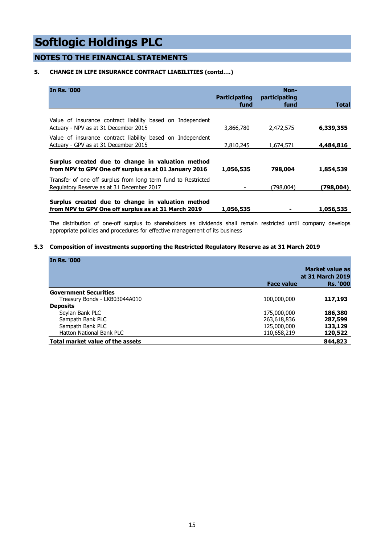### **NOTES TO THE FINANCIAL STATEMENTS**

#### **5. CHANGE IN LIFE INSURANCE CONTRACT LIABILITIES (contd….)**

| <b>In Rs. '000</b>                                                                                         | <b>Participating</b><br>fund | Non-<br>participating<br>fund | <b>Total</b> |
|------------------------------------------------------------------------------------------------------------|------------------------------|-------------------------------|--------------|
|                                                                                                            |                              |                               |              |
| Value of insurance contract liability based on Independent<br>Actuary - NPV as at 31 December 2015         | 3,866,780                    | 2,472,575                     | 6,339,355    |
| Value of insurance contract liability based on Independent<br>Actuary - GPV as at 31 December 2015         | 2,810,245                    | 1,674,571                     | 4,484,816    |
| Surplus created due to change in valuation method<br>from NPV to GPV One off surplus as at 01 January 2016 | 1,056,535                    | 798,004                       | 1,854,539    |
| Transfer of one off surplus from long term fund to Restricted<br>Regulatory Reserve as at 31 December 2017 |                              | (798,004)                     | (798, 004)   |
| Surplus created due to change in valuation method<br>from NPV to GPV One off surplus as at 31 March 2019   | 1,056,535                    |                               | 1,056,535    |

The distribution of one-off surplus to shareholders as dividends shall remain restricted until company develops appropriate policies and procedures for effective management of its business

#### **5.3 Composition of investments supporting the Restricted Regulatory Reserve as at 31 March 2019**

| <b>In Rs. '000</b>               |                   |                  |
|----------------------------------|-------------------|------------------|
|                                  |                   | Market value as  |
|                                  |                   | at 31 March 2019 |
|                                  | <b>Face value</b> | <b>Rs. '000</b>  |
| <b>Government Securities</b>     |                   |                  |
| Treasury Bonds - LKB03044A010    | 100,000,000       | 117,193          |
| <b>Deposits</b>                  |                   |                  |
| Seylan Bank PLC                  | 175,000,000       | 186,380          |
| Sampath Bank PLC                 | 263,618,836       | 287,599          |
| Sampath Bank PLC                 | 125,000,000       | 133,129          |
| <b>Hatton National Bank PLC</b>  | 110,658,219       | 120,522          |
| Total market value of the assets |                   | 844,823          |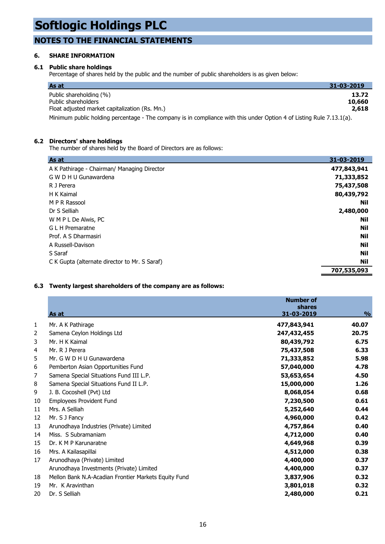### **NOTES TO THE FINANCIAL STATEMENTS**

#### **6. SHARE INFORMATION**

#### **6.1 Public share holdings**

Percentage of shares held by the public and the number of public shareholders is as given below:

| As at                                                                                                                | 31-03-2019 |
|----------------------------------------------------------------------------------------------------------------------|------------|
| Public shareholding (%)                                                                                              | 13.72      |
| Public shareholders                                                                                                  | 10,660     |
| Float adjusted market capitalization (Rs. Mn.)                                                                       | 2,618      |
| Minimum public holding percentage - The company is in compliance with this under Option 4 of Listing Rule 7.13.1(a). |            |

#### **6.2 Directors' share holdings**

The number of shares held by the Board of Directors are as follows:

| As at                                         | 31-03-2019  |
|-----------------------------------------------|-------------|
| A K Pathirage - Chairman/ Managing Director   | 477,843,941 |
| G W D H U Gunawardena                         | 71,333,852  |
| R J Perera                                    | 75,437,508  |
| H K Kaimal                                    | 80,439,792  |
| M P R Rassool                                 | Nil         |
| Dr S Selliah                                  | 2,480,000   |
| W M P L De Alwis, PC                          | Nil         |
| G L H Premaratne                              | Nil         |
| Prof. A S Dharmasiri                          | Nil         |
| A Russell-Davison                             | Nil         |
| S Saraf                                       | Nil         |
| C K Gupta (alternate director to Mr. S Saraf) | Nil         |
|                                               | 707,535,093 |

#### **6.3 Twenty largest shareholders of the company are as follows:**

|    | As at                                                | <b>Number of</b><br><b>shares</b><br>31-03-2019 | $\frac{0}{0}$ |
|----|------------------------------------------------------|-------------------------------------------------|---------------|
| 1  | Mr. A K Pathirage                                    | 477,843,941                                     | 40.07         |
| 2  | Samena Ceylon Holdings Ltd                           | 247,432,455                                     | 20.75         |
| 3  | Mr. H K Kaimal                                       | 80,439,792                                      | 6.75          |
| 4  | Mr. R J Perera                                       | 75,437,508                                      | 6.33          |
| 5  | Mr. G W D H U Gunawardena                            | 71,333,852                                      | 5.98          |
| 6  | Pemberton Asian Opportunities Fund                   | 57,040,000                                      | 4.78          |
| 7  | Samena Special Situations Fund III L.P.              | 53,653,654                                      | 4.50          |
| 8  | Samena Special Situations Fund II L.P.               | 15,000,000                                      | 1.26          |
| 9  | J. B. Cocoshell (Pvt) Ltd                            | 8,068,054                                       | 0.68          |
| 10 | Employees Provident Fund                             | 7,230,500                                       | 0.61          |
| 11 | Mrs. A Selliah                                       | 5,252,640                                       | 0.44          |
| 12 | Mr. S J Fancy                                        | 4,960,000                                       | 0.42          |
| 13 | Arunodhaya Industries (Private) Limited              | 4,757,864                                       | 0.40          |
| 14 | Miss. S Subramaniam                                  | 4,712,000                                       | 0.40          |
| 15 | Dr. K M P Karunaratne                                | 4,649,968                                       | 0.39          |
| 16 | Mrs. A Kailasapillai                                 | 4,512,000                                       | 0.38          |
| 17 | Arunodhaya (Private) Limited                         | 4,400,000                                       | 0.37          |
|    | Arunodhaya Investments (Private) Limited             | 4,400,000                                       | 0.37          |
| 18 | Mellon Bank N.A-Acadian Frontier Markets Equity Fund | 3,837,906                                       | 0.32          |
| 19 | Mr. K Aravinthan                                     | 3,801,018                                       | 0.32          |
| 20 | Dr. S Selliah                                        | 2,480,000                                       | 0.21          |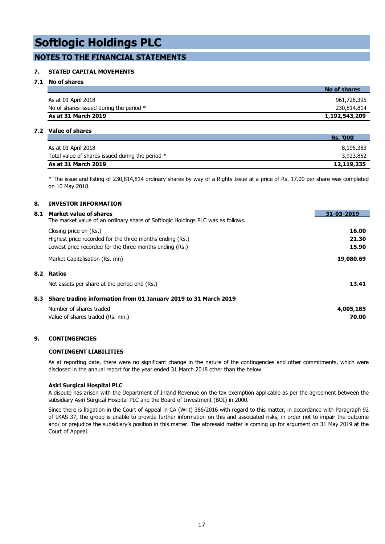#### **NOTES TO THE FINANCIAL STATEMENTS**

#### **7. STATED CAPITAL MOVEMENTS**

#### **7.1 No of shares**

|                                           | No of shares  |
|-------------------------------------------|---------------|
| As at 01 April 2018                       | 961,728,395   |
| No of shares issued during the period $*$ | 230,814,814   |
| As at 31 March 2019                       | 1,192,543,209 |

#### **7.2 Value of shares**

|                                                  | <b>Rs. '000</b> |
|--------------------------------------------------|-----------------|
| As at 01 April 2018                              | 8,195,383       |
| Total value of shares issued during the period * | 3,923,852       |
| As at 31 March 2019                              | 12,119,235      |

\* The issue and listing of 230,814,814 ordinary shares by way of a Rights Issue at a price of Rs. 17.00 per share was completed on 10 May 2018.

#### **8. INVESTOR INFORMATION**

| 8.1 | Market value of shares                                                          | 31-03-2019 |
|-----|---------------------------------------------------------------------------------|------------|
|     | The market value of an ordinary share of Softlogic Holdings PLC was as follows. |            |
|     | Closing price on (Rs.)                                                          | 16.00      |
|     | Highest price recorded for the three months ending (Rs.)                        | 21.30      |
|     | Lowest price recorded for the three months ending (Rs.)                         | 15.90      |
|     | Market Capitalisation (Rs. mn)                                                  | 19,080.69  |
| 8.2 | Ratios                                                                          |            |
|     | Net assets per share at the period end (Rs.)                                    | 13.41      |
|     | 8.3 Share trading information from 01 January 2019 to 31 March 2019             |            |
|     | Number of shares traded                                                         | 4,005,185  |
|     | Value of shares traded (Rs. mn.)                                                | 70.00      |

#### **9. CONTINGENCIES**

#### **CONTINGENT LIABILITIES**

As at reporting date, there were no significant change in the nature of the contingencies and other commitments, which were disclosed in the annual report for the year ended 31 March 2018 other than the below.

#### **Asiri Surgical Hospital PLC**

A dispute has arisen with the Department of Inland Revenue on the tax exemption applicable as per the agreement between the subsidiary Asiri Surgical Hospital PLC and the Board of Investment (BOI) in 2000.

Since there is litigation in the Court of Appeal in CA (Writ) 386/2016 with regard to this matter, in accordance with Paragraph 92 of LKAS 37, the group is unable to provide further information on this and associated risks, in order not to impair the outcome and/ or prejudice the subsidiary's position in this matter. The aforesaid matter is coming up for argument on 31 May 2019 at the Court of Appeal.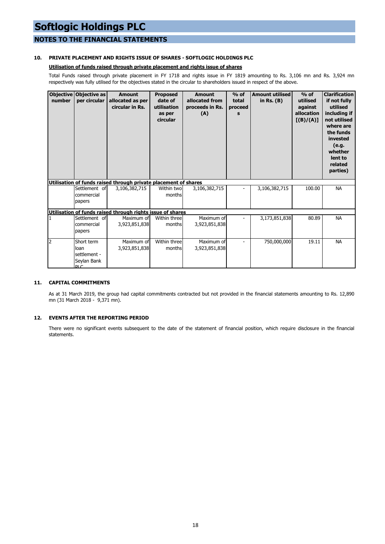#### **NOTES TO THE FINANCIAL STATEMENTS**

#### **10. PRIVATE PLACEMENT AND RIGHTS ISSUE OF SHARES - SOFTLOGIC HOLDINGS PLC**

#### **Utilisation of funds raised through private placement and rights issue of shares**

Total Funds raised through private placement in FY 1718 and rights issue in FY 1819 amounting to Rs. 3,106 mn and Rs. 3,924 mn respectively was fully utilised for the objectives stated in the circular to shareholders issued in respect of the above.

| number         | Objective Objective as<br>per circular                   | <b>Amount</b><br>allocated as per<br>circular in Rs.            | <b>Proposed</b><br>date of<br>utilisation<br>as per<br>circular | <b>Amount</b><br>allocated from<br>proceeds in Rs.<br>(A) | $%$ of<br>total<br>proceed<br>s | <b>Amount utilised</b><br>in Rs. $(B)$ | $%$ of<br>utilised<br>against<br>allocation<br>[(B)/(A)] | <b>Clarification</b><br>if not fully<br>utilised<br>including if<br>not utilised<br>where are<br>the funds<br>invested<br>(e.g.<br>whether<br>lent to<br>related<br>parties) |
|----------------|----------------------------------------------------------|-----------------------------------------------------------------|-----------------------------------------------------------------|-----------------------------------------------------------|---------------------------------|----------------------------------------|----------------------------------------------------------|------------------------------------------------------------------------------------------------------------------------------------------------------------------------------|
|                |                                                          | Utilisation of funds raised through private placement of shares |                                                                 |                                                           |                                 |                                        |                                                          |                                                                                                                                                                              |
|                | Settlement of<br>commercial<br>papers                    | 3,106,382,715                                                   | Within two<br>months                                            | 3,106,382,715                                             |                                 | 3,106,382,715                          | 100.00                                                   | <b>NA</b>                                                                                                                                                                    |
|                |                                                          | Utilisation of funds raised through rights issue of shares      |                                                                 |                                                           |                                 |                                        |                                                          |                                                                                                                                                                              |
| 1              | Settlement of<br>commercial<br>papers                    | Maximum of<br>3,923,851,838                                     | Within three<br>months                                          | Maximum of<br>3,923,851,838                               |                                 | 3,173,851,838                          | 80.89                                                    | <b>NA</b>                                                                                                                                                                    |
| $\overline{2}$ | Short term<br>loan<br>settlement -<br>Seylan Bank<br>DIC | Maximum of<br>3,923,851,838                                     | Within three<br>months                                          | Maximum of<br>3,923,851,838                               |                                 | 750,000,000                            | 19.11                                                    | <b>NA</b>                                                                                                                                                                    |

#### **11. CAPITAL COMMITMENTS**

As at 31 March 2019, the group had capital commitments contracted but not provided in the financial statements amounting to Rs. 12,890 mn (31 March 2018 - 9,371 mn).

#### **12. EVENTS AFTER THE REPORTING PERIOD**

There were no significant events subsequent to the date of the statement of financial position, which require disclosure in the financial statements.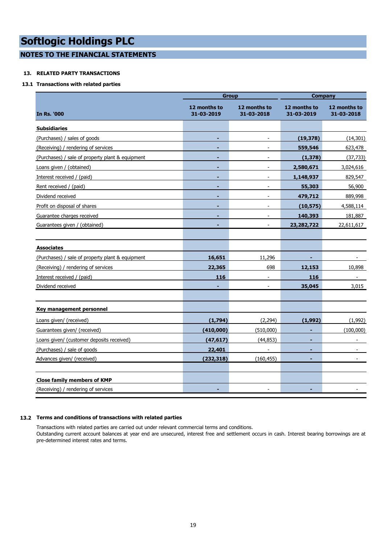**NOTES TO THE FINANCIAL STATEMENTS**

#### **13. RELATED PARTY TRANSACTIONS**

#### **13.1 Transactions with related parties**

|                                                  | <b>Group</b>               |                            | <b>Company</b>             |                            |
|--------------------------------------------------|----------------------------|----------------------------|----------------------------|----------------------------|
| In Rs. '000                                      | 12 months to<br>31-03-2019 | 12 months to<br>31-03-2018 | 12 months to<br>31-03-2019 | 12 months to<br>31-03-2018 |
| <b>Subsidiaries</b>                              |                            |                            |                            |                            |
| (Purchases) / sales of goods                     | ۰                          | $\overline{\phantom{a}}$   | (19, 378)                  | (14, 301)                  |
| (Receiving) / rendering of services              |                            |                            | 559,546                    | 623,478                    |
| (Purchases) / sale of property plant & equipment | ۰                          | $\overline{\phantom{a}}$   | (1, 378)                   | (37, 733)                  |
| Loans given / (obtained)                         | ÷                          | $\overline{a}$             | 2,580,671                  | 3,024,616                  |
| Interest received / (paid)                       | $\overline{\phantom{0}}$   |                            | 1,148,937                  | 829,547                    |
| Rent received / (paid)                           | ٠                          | $\overline{\phantom{a}}$   | 55,303                     | 56,900                     |
| Dividend received                                |                            |                            | 479,712                    | 889,998                    |
| Profit on disposal of shares                     |                            |                            | (10, 575)                  | 4,588,114                  |
| Guarantee charges received                       | ÷                          | $\overline{\phantom{a}}$   | 140,393                    | 181,887                    |
| Guarantees given / (obtained)                    |                            |                            | 23, 282, 722               | 22,611,617                 |
|                                                  |                            |                            |                            |                            |
| <b>Associates</b>                                |                            |                            |                            |                            |
| (Purchases) / sale of property plant & equipment | 16,651                     | 11,296                     |                            |                            |
| (Receiving) / rendering of services              | 22,365                     | 698                        | 12,153                     | 10,898                     |
| Interest received / (paid)                       | 116                        | $\overline{a}$             | 116                        |                            |
| Dividend received                                |                            | $\overline{\phantom{a}}$   | 35,045                     | 3,015                      |
|                                                  |                            |                            |                            |                            |
| Key management personnel                         |                            |                            |                            |                            |
| Loans given/ (received)                          | (1,794)                    | (2,294)                    | (1,992)                    | (1,992)                    |
| Guarantees given/ (received)                     | (410,000)                  | (510,000)                  | ٠                          | (100,000)                  |
| Loans given/ (customer deposits received)        | (47, 617)                  | (44, 853)                  | ۰                          | $\overline{\phantom{a}}$   |
| (Purchases) / sale of goods                      | 22,401                     | $\overline{a}$             | -                          |                            |
| Advances given/ (received)                       | (232, 318)                 | (160, 455)                 | ٠                          | $\overline{\phantom{a}}$   |
|                                                  |                            |                            |                            |                            |
| <b>Close family members of KMP</b>               |                            |                            |                            |                            |
| (Receiving) / rendering of services              |                            | $\overline{\phantom{a}}$   |                            |                            |

#### **13.2 Terms and conditions of transactions with related parties**

Transactions with related parties are carried out under relevant commercial terms and conditions. Outstanding current account balances at year end are unsecured, interest free and settlement occurs in cash. Interest bearing borrowings are at pre-determined interest rates and terms.